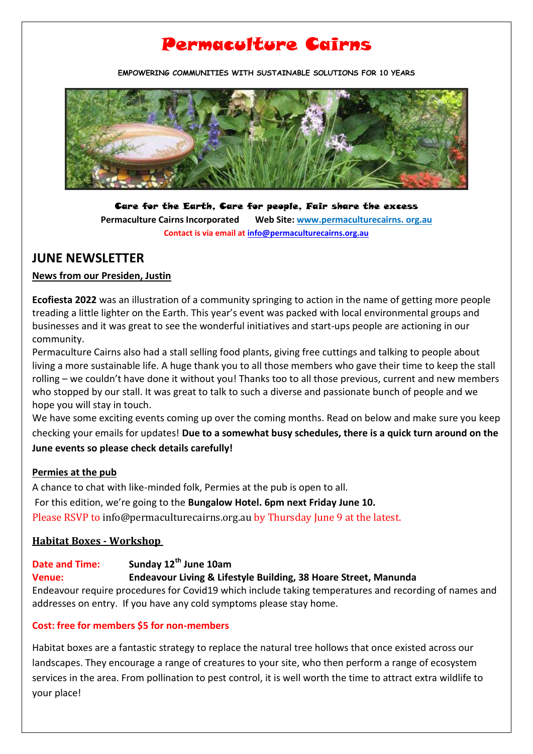# Permaculture Cairns

**EMPOWERING COMMUNITIES WITH SUSTAINABLE SOLUTIONS FOR 10 YEARS**



Care for the Earth, Care for people, Fair share the excess **Permaculture Cairns Incorporated Web Site[: www.permaculturecairns.](http://www.permaculturecairns/) org.au Contact is via email a[t info@permaculturecairns.org.au](mailto:info@permaculturecairns.org.au)**

### **JUNE NEWSLETTER**

#### **News from our Presiden, Justin**

**Ecofiesta 2022** was an illustration of a community springing to action in the name of getting more people treading a little lighter on the Earth. This year's event was packed with local environmental groups and businesses and it was great to see the wonderful initiatives and start-ups people are actioning in our community.

Permaculture Cairns also had a stall selling food plants, giving free cuttings and talking to people about living a more sustainable life. A huge thank you to all those members who gave their time to keep the stall rolling – we couldn't have done it without you! Thanks too to all those previous, current and new members who stopped by our stall. It was great to talk to such a diverse and passionate bunch of people and we hope you will stay in touch.

We have some exciting events coming up over the coming months. Read on below and make sure you keep checking your emails for updates! **Due to a somewhat busy schedules, there is a quick turn around on the June events so please check details carefully!**

#### **Permies at the pub**

A chance to chat with like-minded folk, Permies at the pub is open to all.

For this edition, we're going to the **Bungalow Hotel. 6pm next Friday June 10.** Please RSVP t[o info@permaculturecairns.org.au](mailto:info@permaculturecairns.org.au) by Thursday June 9 at the latest.

#### **Habitat Boxes - Workshop**

#### **Date and Time: Sunday 12th June 10am Venue: Endeavour Living & Lifestyle Building, 38 Hoare Street, Manunda** Endeavour require procedures for Covid19 which include taking temperatures and recording of names and addresses on entry. If you have any cold symptoms please stay home.

#### **Cost: free for members \$5 for non-members**

Habitat boxes are a fantastic strategy to replace the natural tree hollows that once existed across our landscapes. They encourage a range of creatures to your site, who then perform a range of ecosystem services in the area. From pollination to pest control, it is well worth the time to attract extra wildlife to your place!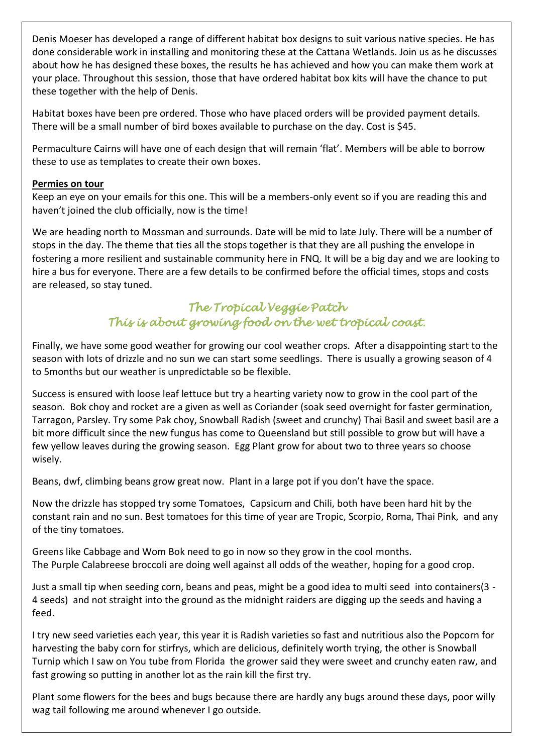Denis Moeser has developed a range of different habitat box designs to suit various native species. He has done considerable work in installing and monitoring these at the Cattana Wetlands. Join us as he discusses about how he has designed these boxes, the results he has achieved and how you can make them work at your place. Throughout this session, those that have ordered habitat box kits will have the chance to put these together with the help of Denis.

Habitat boxes have been pre ordered. Those who have placed orders will be provided payment details. There will be a small number of bird boxes available to purchase on the day. Cost is \$45.

Permaculture Cairns will have one of each design that will remain 'flat'. Members will be able to borrow these to use as templates to create their own boxes.

#### **Permies on tour**

Keep an eye on your emails for this one. This will be a members-only event so if you are reading this and haven't joined the club officially, now is the time!

We are heading north to Mossman and surrounds. Date will be mid to late July. There will be a number of stops in the day. The theme that ties all the stops together is that they are all pushing the envelope in fostering a more resilient and sustainable community here in FNQ. It will be a big day and we are looking to hire a bus for everyone. There are a few details to be confirmed before the official times, stops and costs are released, so stay tuned.

# *The Tropical Veggie Patch This is about growing food on the wet tropical coast.*

Finally, we have some good weather for growing our cool weather crops. After a disappointing start to the season with lots of drizzle and no sun we can start some seedlings. There is usually a growing season of 4 to 5months but our weather is unpredictable so be flexible.

Success is ensured with loose leaf lettuce but try a hearting variety now to grow in the cool part of the season. Bok choy and rocket are a given as well as Coriander (soak seed overnight for faster germination, Tarragon, Parsley. Try some Pak choy, Snowball Radish (sweet and crunchy) Thai Basil and sweet basil are a bit more difficult since the new fungus has come to Queensland but still possible to grow but will have a few yellow leaves during the growing season. Egg Plant grow for about two to three years so choose wisely.

Beans, dwf, climbing beans grow great now. Plant in a large pot if you don't have the space.

Now the drizzle has stopped try some Tomatoes, Capsicum and Chili, both have been hard hit by the constant rain and no sun. Best tomatoes for this time of year are Tropic, Scorpio, Roma, Thai Pink, and any of the tiny tomatoes.

Greens like Cabbage and Wom Bok need to go in now so they grow in the cool months. The Purple Calabreese broccoli are doing well against all odds of the weather, hoping for a good crop.

Just a small tip when seeding corn, beans and peas, might be a good idea to multi seed into containers(3 - 4 seeds) and not straight into the ground as the midnight raiders are digging up the seeds and having a feed.

I try new seed varieties each year, this year it is Radish varieties so fast and nutritious also the Popcorn for harvesting the baby corn for stirfrys, which are delicious, definitely worth trying, the other is Snowball Turnip which I saw on You tube from Florida the grower said they were sweet and crunchy eaten raw, and fast growing so putting in another lot as the rain kill the first try.

Plant some flowers for the bees and bugs because there are hardly any bugs around these days, poor willy wag tail following me around whenever I go outside.